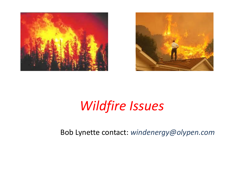



### *Wildfire Issues*

Bob Lynette contact: *windenergy@olypen.com*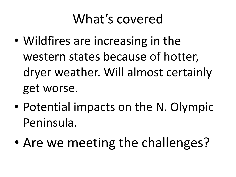### What's covered

- Wildfires are increasing in the western states because of hotter, dryer weather. Will almost certainly get worse.
- Potential impacts on the N. Olympic Peninsula.
- Are we meeting the challenges?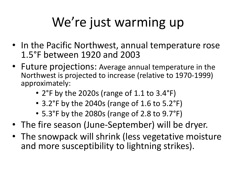# We're just warming up

- In the Pacific Northwest, annual temperature rose 1.5°F between 1920 and 2003
- Future projections: Average annual temperature in the Northwest is projected to increase (relative to 1970-1999) approximately:
	- 2°F by the 2020s (range of 1.1 to 3.4°F)
	- 3.2°F by the 2040s (range of 1.6 to 5.2°F)
	- 5.3°F by the 2080s (range of 2.8 to 9.7°F)
- The fire season (June-September) will be dryer.
- The snowpack will shrink (less vegetative moisture and more susceptibility to lightning strikes).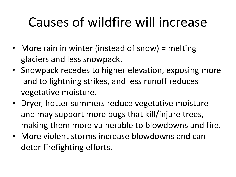# Causes of wildfire will increase

- More rain in winter (instead of snow) = melting glaciers and less snowpack.
- Snowpack recedes to higher elevation, exposing more land to lightning strikes, and less runoff reduces vegetative moisture.
- Dryer, hotter summers reduce vegetative moisture and may support more bugs that kill/injure trees, making them more vulnerable to blowdowns and fire.
- More violent storms increase blowdowns and can deter firefighting efforts.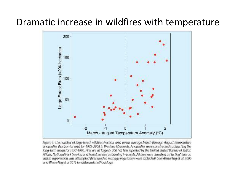#### Dramatic increase in wildfires with temperature



Houre 1: The number of large forest wildfires (vertical axis) versus average March through August temperature anomalies (horizontal axis) for 1972-2008 in Western US forests. Anomalies were constructed subtracting the long-term mean for 1972-1990. Fires are all large (> 200 ha) fires reported by the United States' Bureau of Indian Affairs, National Park Service, and Forest Service as burning in forests. All fires were classified as "action" fires on which suppression was attempted flires used to manage vegetation were excluded). See Westerling et al. 2006 and Westerling et al 2011 for data and methodology.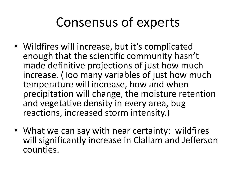### Consensus of experts

- Wildfires will increase, but it's complicated enough that the scientific community hasn't made definitive projections of just how much increase. (Too many variables of just how much temperature will increase, how and when precipitation will change, the moisture retention and vegetative density in every area, bug reactions, increased storm intensity.)
- What we can say with near certainty: wildfires will significantly increase in Clallam and Jefferson counties.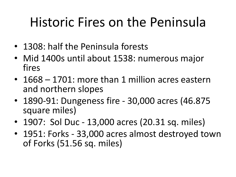## Historic Fires on the Peninsula

- 1308: half the Peninsula forests
- Mid 1400s until about 1538: numerous major fires
- 1668 1701: more than 1 million acres eastern and northern slopes
- 1890-91: Dungeness fire 30,000 acres (46.875 square miles)
- 1907: Sol Duc 13,000 acres (20.31 sq. miles)
- 1951: Forks 33,000 acres almost destroyed town of Forks (51.56 sq. miles)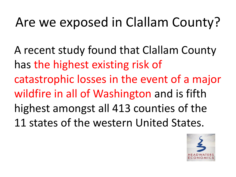# Are we exposed in Clallam County?

A recent study found that Clallam County has the highest existing risk of catastrophic losses in the event of a major wildfire in all of Washington and is fifth highest amongst all 413 counties of the 11 states of the western United States.

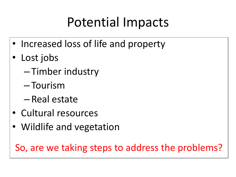## Potential Impacts

- Increased loss of life and property
- Lost jobs
	- Timber industry
	- Tourism
	- Real estate
- Cultural resources
- Wildlife and vegetation

So, are we taking steps to address the problems?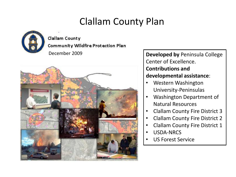#### Clallam County Plan



Clallam County

Community Wildfire Protection Plan



December 2009 **Developed by** Peninsula College Center of Excellence. **Contributions and developmental assistance**:

- Western Washington University-Peninsulas
- Washington Department of Natural Resources
- Clallam County Fire District 3
- Clallam County Fire District 2
- Clallam County Fire District 1
- USDA-NRCS
- US Forest Service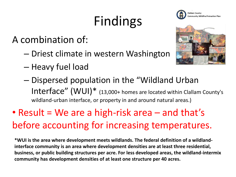# Findings

A combination of:

- Driest climate in western Washington
- Heavy fuel load
- Dispersed population in the "Wildland Urban Interface" (WUI)\* (13,000+ homes are located within Clallam County's wildland-urban interface, or property in and around natural areas.)

### • Result = We are a high-risk area – and that's before accounting for increasing temperatures.

**\*WUI is the area where development meets wildlands. The federal definition of a wildlandinterface community is an area where development densities are at least three residential, business, or public building structures per acre. For less developed areas, the wildland-intermix community has development densities of at least one structure per 40 acres.**



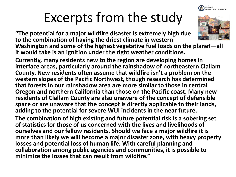

# Excerpts from the study

**"The potential for a major wildfire disaster is extremely high due to the combination of having the driest climate in western Washington and some of the highest vegetative fuel loads on the planet—all it would take is an ignition under the right weather conditions.**

**Currently, many residents new to the region are developing homes in interface areas, particularly around the rainshadow of northeastern Clallam County. New residents often assume that wildfire isn't a problem on the western slopes of the Pacific Northwest, though research has determined that forests in our rainshadow area are more similar to those in central Oregon and northern California than those on the Pacific coast. Many new residents of Clallam County are also unaware of the concept of defensible space or are unaware that the concept is directly applicable to their lands, adding to the potential for severe WUI incidents in the near future.**

**The combination of high existing and future potential risk is a sobering set of statistics for those of us concerned with the lives and livelihoods of ourselves and our fellow residents. Should we face a major wildfire it is more than likely we will become a major disaster zone, with heavy property losses and potential loss of human life. With careful planning and collaboration among public agencies and communities, it is possible to minimize the losses that can result from wildfire."**

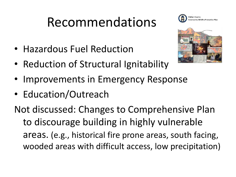## Recommendations





- Hazardous Fuel Reduction
- Reduction of Structural Ignitability
- Improvements in Emergency Response
- Education/Outreach

Not discussed: Changes to Comprehensive Plan to discourage building in highly vulnerable areas. (e.g., historical fire prone areas, south facing, wooded areas with difficult access, low precipitation)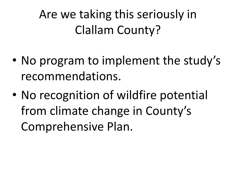Are we taking this seriously in Clallam County?

- No program to implement the study's recommendations.
- No recognition of wildfire potential from climate change in County's Comprehensive Plan.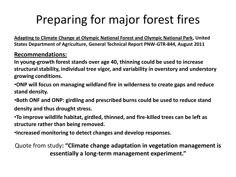### Preparing for major forest fires

**Adapting to Climate Change at Olympic National Forest and Olympic National Park, United States Department of Agriculture, General Technical Report PNW-GTR-844, August 2011**

#### **Recommendations:**

**In young-growth forest stands over age 40, thinning could be used to increase structural stability, individual tree vigor, and variability in overstory and understory growing conditions.**

•**ONP will focus on managing wildland fire in wilderness to create gaps and reduce stand density.** 

•**Both ONF and ONP: girdling and prescribed burns could be used to reduce stand density and thus drought stress.** 

•**To improve wildlife habitat, girdled, thinned, and fire-killed trees can be left as structure rather than being removed.**

•**Increased monitoring to detect changes and develop responses.**

Quote from study**: "Climate change adaptation in vegetation management is essentially a long-term management experiment."**